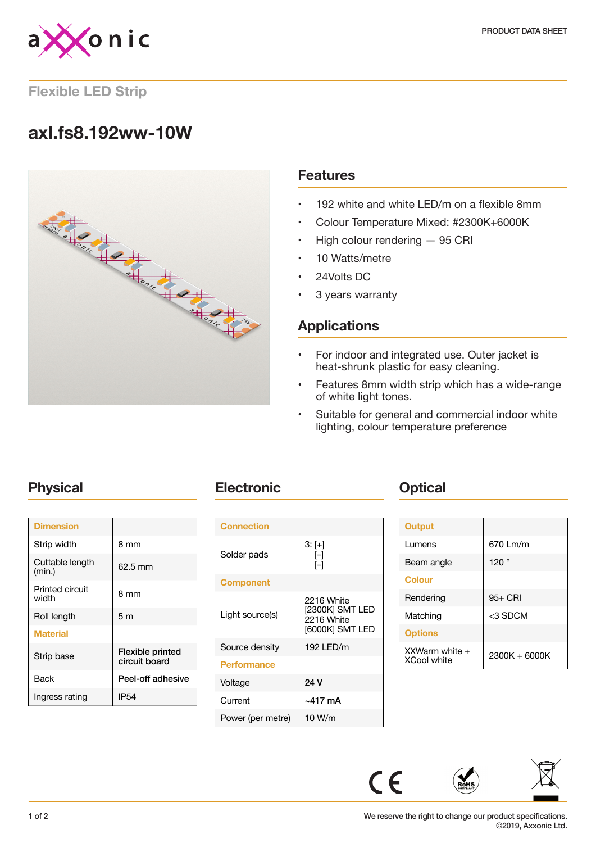

### **Flexible LED Strip**

# **axl.fs8.192ww-10W**



### **Features**

- 192 white and white LED/m on a flexible 8mm
- Colour Temperature Mixed: #2300K+6000K
- High colour rendering 95 CRI
- 10 Watts/metre
- 24Volts DC
- 3 years warranty

# **Applications**

- For indoor and integrated use. Outer jacket is heat-shrunk plastic for easy cleaning.
- Features 8mm width strip which has a wide-range of white light tones.
- Suitable for general and commercial indoor white lighting, colour temperature preference

| <b>Dimension</b>          |                                   |
|---------------------------|-----------------------------------|
| Strip width               | 8 mm                              |
| Cuttable length<br>(min.) | 62.5 mm                           |
| Printed circuit<br>width  | 8 mm                              |
| Roll length               | 5 <sub>m</sub>                    |
| <b>Material</b>           |                                   |
| Strip base                | Flexible printed<br>circuit board |
| Back                      | Peel-off adhesive                 |
| Ingress rating            | IP54                              |
|                           |                                   |

# **Physical <b>Electronic Change Physical**

| <b>Connection</b>  |                                                                |
|--------------------|----------------------------------------------------------------|
| Solder pads        | $3: [+]$<br>ſ–1<br>ſ–1                                         |
| <b>Component</b>   |                                                                |
| Light source(s)    | 2216 White<br>[2300K] SMT LED<br>2216 White<br>[6000K] SMT LED |
| Source density     | 192 LED/m                                                      |
| <b>Performance</b> |                                                                |
| Voltage            | 24 V                                                           |
| Current            | ~417 mA                                                        |
| Power (per metre)  | 10 W/m                                                         |

| <b>Output</b>                            |               |
|------------------------------------------|---------------|
| Lumens                                   | 670 Lm/m      |
| Beam angle                               | 120°          |
| <b>Colour</b>                            |               |
| Rendering                                | $95+$ CRI     |
| Matching                                 | <3 SDCM       |
| <b>Options</b>                           |               |
| $XXWarm$ white $+$<br><b>XCool white</b> | 2300K + 6000K |



 $C \in$